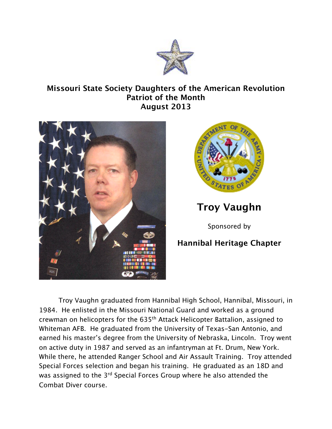

## **Missouri State Society Daughters of the American Revolution Patriot of the Month August 2013**





**Troy Vaughn**

Sponsored by

## **Hannibal Heritage Chapter**

Troy Vaughn graduated from Hannibal High School, Hannibal, Missouri, in 1984. He enlisted in the Missouri National Guard and worked as a ground crewman on helicopters for the 635th Attack Helicopter Battalion, assigned to Whiteman AFB. He graduated from the University of Texas-San Antonio, and earned his master's degree from the University of Nebraska, Lincoln. Troy went on active duty in 1987 and served as an infantryman at Ft. Drum, New York. While there, he attended Ranger School and Air Assault Training. Troy attended Special Forces selection and began his training. He graduated as an 18D and was assigned to the 3<sup>rd</sup> Special Forces Group where he also attended the Combat Diver course.